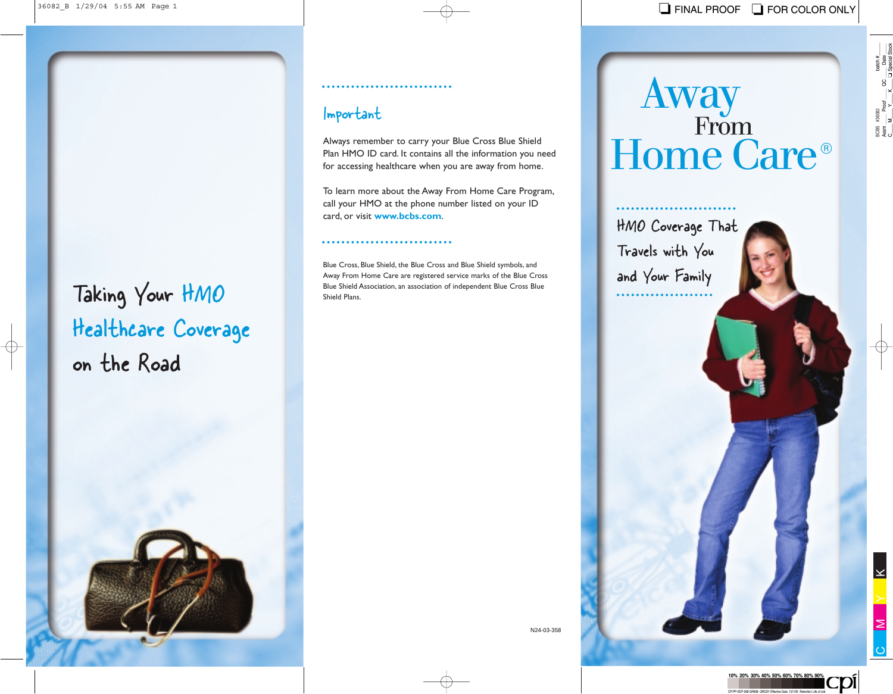# Healthcare Coverage on the Road

#### 

### Important

Always remember to carry your Blue Cross Blue Shield Plan HMO ID card. It contains all the information you need for accessing healthcare when you are away from home.

To learn more about the Away From Home Care Program, call your HMO at the phone number listed on your ID card, or visit **www.bcbs.com**.

#### 

Faking Your HMO<br>
Away From Home Care are registered service marks of the Blue Cross Blue<br>
Shield Plans. Blue Cross, Blue Shield, the Blue Cross and Blue Shield symbols, and Away From Home Care are registered service marks of the Blue Cross Blue Shield Association, an association of independent Blue Cross Blue Shield Plans.

## Away Home Care<sup>®</sup> From

HMO Coverage That Travels with You